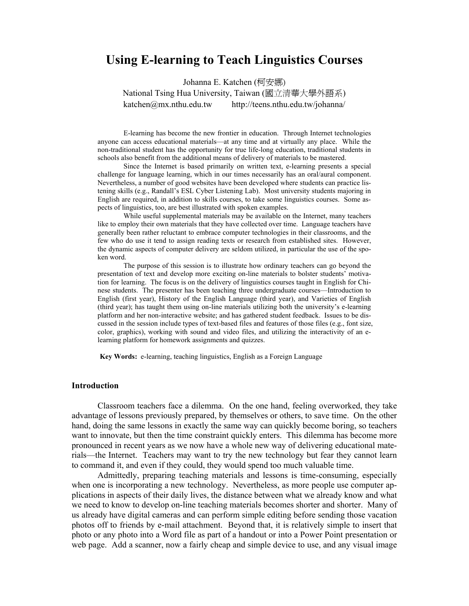# **Using E-learning to Teach Linguistics Courses**

Johanna E. Katchen (柯安娜) National Tsing Hua University, Taiwan (國立清華大學外語系)

katchen@mx.nthu.edu.tw http://teens.nthu.edu.tw/johanna/

E-learning has become the new frontier in education. Through Internet technologies anyone can access educational materials—at any time and at virtually any place. While the non-traditional student has the opportunity for true life-long education, traditional students in schools also benefit from the additional means of delivery of materials to be mastered.

 Since the Internet is based primarily on written text, e-learning presents a special challenge for language learning, which in our times necessarily has an oral/aural component. Nevertheless, a number of good websites have been developed where students can practice listening skills (e.g., Randall's ESL Cyber Listening Lab). Most university students majoring in English are required, in addition to skills courses, to take some linguistics courses. Some aspects of linguistics, too, are best illustrated with spoken examples.

 While useful supplemental materials may be available on the Internet, many teachers like to employ their own materials that they have collected over time. Language teachers have generally been rather reluctant to embrace computer technologies in their classrooms, and the few who do use it tend to assign reading texts or research from established sites. However, the dynamic aspects of computer delivery are seldom utilized, in particular the use of the spoken word.

 The purpose of this session is to illustrate how ordinary teachers can go beyond the presentation of text and develop more exciting on-line materials to bolster students' motivation for learning. The focus is on the delivery of linguistics courses taught in English for Chinese students. The presenter has been teaching three undergraduate courses—Introduction to English (first year), History of the English Language (third year), and Varieties of English (third year); has taught them using on-line materials utilizing both the university's e-learning platform and her non-interactive website; and has gathered student feedback. Issues to be discussed in the session include types of text-based files and features of those files (e.g., font size, color, graphics), working with sound and video files, and utilizing the interactivity of an elearning platform for homework assignments and quizzes.

**Key Words:** e-learning, teaching linguistics, English as a Foreign Language

## **Introduction**

 Classroom teachers face a dilemma. On the one hand, feeling overworked, they take advantage of lessons previously prepared, by themselves or others, to save time. On the other hand, doing the same lessons in exactly the same way can quickly become boring, so teachers want to innovate, but then the time constraint quickly enters. This dilemma has become more pronounced in recent years as we now have a whole new way of delivering educational materials—the Internet. Teachers may want to try the new technology but fear they cannot learn to command it, and even if they could, they would spend too much valuable time.

 Admittedly, preparing teaching materials and lessons is time-consuming, especially when one is incorporating a new technology. Nevertheless, as more people use computer applications in aspects of their daily lives, the distance between what we already know and what we need to know to develop on-line teaching materials becomes shorter and shorter. Many of us already have digital cameras and can perform simple editing before sending those vacation photos off to friends by e-mail attachment. Beyond that, it is relatively simple to insert that photo or any photo into a Word file as part of a handout or into a Power Point presentation or web page. Add a scanner, now a fairly cheap and simple device to use, and any visual image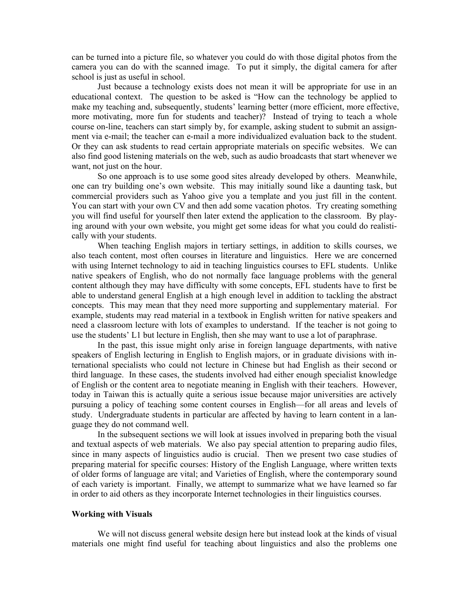can be turned into a picture file, so whatever you could do with those digital photos from the camera you can do with the scanned image. To put it simply, the digital camera for after school is just as useful in school.

 Just because a technology exists does not mean it will be appropriate for use in an educational context. The question to be asked is "How can the technology be applied to make my teaching and, subsequently, students' learning better (more efficient, more effective, more motivating, more fun for students and teacher)? Instead of trying to teach a whole course on-line, teachers can start simply by, for example, asking student to submit an assignment via e-mail; the teacher can e-mail a more individualized evaluation back to the student. Or they can ask students to read certain appropriate materials on specific websites. We can also find good listening materials on the web, such as audio broadcasts that start whenever we want, not just on the hour.

 So one approach is to use some good sites already developed by others. Meanwhile, one can try building one's own website. This may initially sound like a daunting task, but commercial providers such as Yahoo give you a template and you just fill in the content. You can start with your own CV and then add some vacation photos. Try creating something you will find useful for yourself then later extend the application to the classroom. By playing around with your own website, you might get some ideas for what you could do realistically with your students.

 When teaching English majors in tertiary settings, in addition to skills courses, we also teach content, most often courses in literature and linguistics. Here we are concerned with using Internet technology to aid in teaching linguistics courses to EFL students. Unlike native speakers of English, who do not normally face language problems with the general content although they may have difficulty with some concepts, EFL students have to first be able to understand general English at a high enough level in addition to tackling the abstract concepts. This may mean that they need more supporting and supplementary material. For example, students may read material in a textbook in English written for native speakers and need a classroom lecture with lots of examples to understand. If the teacher is not going to use the students' L1 but lecture in English, then she may want to use a lot of paraphrase.

 In the past, this issue might only arise in foreign language departments, with native speakers of English lecturing in English to English majors, or in graduate divisions with international specialists who could not lecture in Chinese but had English as their second or third language. In these cases, the students involved had either enough specialist knowledge of English or the content area to negotiate meaning in English with their teachers. However, today in Taiwan this is actually quite a serious issue because major universities are actively pursuing a policy of teaching some content courses in English—for all areas and levels of study. Undergraduate students in particular are affected by having to learn content in a language they do not command well.

 In the subsequent sections we will look at issues involved in preparing both the visual and textual aspects of web materials. We also pay special attention to preparing audio files, since in many aspects of linguistics audio is crucial. Then we present two case studies of preparing material for specific courses: History of the English Language, where written texts of older forms of language are vital; and Varieties of English, where the contemporary sound of each variety is important. Finally, we attempt to summarize what we have learned so far in order to aid others as they incorporate Internet technologies in their linguistics courses.

## **Working with Visuals**

 We will not discuss general website design here but instead look at the kinds of visual materials one might find useful for teaching about linguistics and also the problems one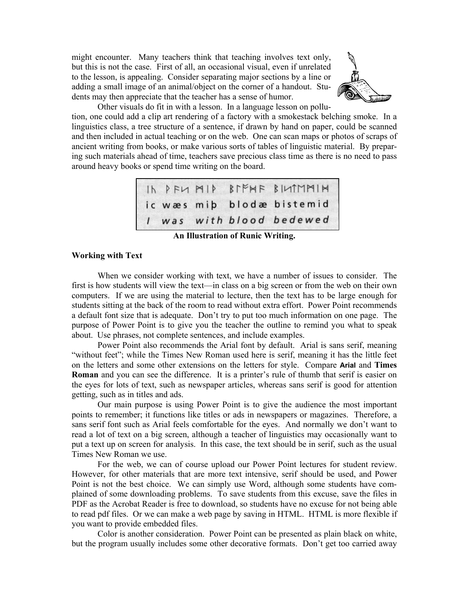might encounter. Many teachers think that teaching involves text only, but this is not the case. First of all, an occasional visual, even if unrelated to the lesson, is appealing. Consider separating major sections by a line or adding a small image of an animal/object on the corner of a handout. Students may then appreciate that the teacher has a sense of humor.



Other visuals do fit in with a lesson. In a language lesson on pollu-

tion, one could add a clip art rendering of a factory with a smokestack belching smoke. In a linguistics class, a tree structure of a sentence, if drawn by hand on paper, could be scanned and then included in actual teaching or on the web. One can scan maps or photos of scraps of ancient writing from books, or make various sorts of tables of linguistic material. By preparing such materials ahead of time, teachers save precious class time as there is no need to pass around heavy books or spend time writing on the board.

|  |  | IN PFU MIP BIFMF BILIMMIN<br>ic wæs miþ blodæ bistemid |
|--|--|--------------------------------------------------------|
|  |  | I was with blood bedewed                               |

**An Illustration of Runic Writing.** 

# **Working with Text**

 When we consider working with text, we have a number of issues to consider. The first is how students will view the text—in class on a big screen or from the web on their own computers. If we are using the material to lecture, then the text has to be large enough for students sitting at the back of the room to read without extra effort. Power Point recommends a default font size that is adequate. Don't try to put too much information on one page. The purpose of Power Point is to give you the teacher the outline to remind you what to speak about. Use phrases, not complete sentences, and include examples.

 Power Point also recommends the Arial font by default. Arial is sans serif, meaning "without feet"; while the Times New Roman used here is serif, meaning it has the little feet on the letters and some other extensions on the letters for style. Compare **Arial** and **Times Roman** and you can see the difference. It is a printer's rule of thumb that serif is easier on the eyes for lots of text, such as newspaper articles, whereas sans serif is good for attention getting, such as in titles and ads.

 Our main purpose is using Power Point is to give the audience the most important points to remember; it functions like titles or ads in newspapers or magazines. Therefore, a sans serif font such as Arial feels comfortable for the eyes. And normally we don't want to read a lot of text on a big screen, although a teacher of linguistics may occasionally want to put a text up on screen for analysis. In this case, the text should be in serif, such as the usual Times New Roman we use.

 For the web, we can of course upload our Power Point lectures for student review. However, for other materials that are more text intensive, serif should be used, and Power Point is not the best choice. We can simply use Word, although some students have complained of some downloading problems. To save students from this excuse, save the files in PDF as the Acrobat Reader is free to download, so students have no excuse for not being able to read pdf files. Or we can make a web page by saving in HTML. HTML is more flexible if you want to provide embedded files.

 Color is another consideration. Power Point can be presented as plain black on white, but the program usually includes some other decorative formats. Don't get too carried away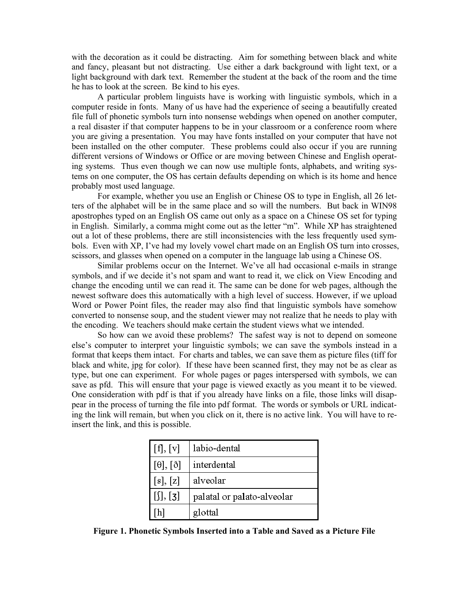with the decoration as it could be distracting. Aim for something between black and white and fancy, pleasant but not distracting. Use either a dark background with light text, or a light background with dark text. Remember the student at the back of the room and the time he has to look at the screen. Be kind to his eyes.

 A particular problem linguists have is working with linguistic symbols, which in a computer reside in fonts. Many of us have had the experience of seeing a beautifully created file full of phonetic symbols turn into nonsense webdings when opened on another computer, a real disaster if that computer happens to be in your classroom or a conference room where you are giving a presentation. You may have fonts installed on your computer that have not been installed on the other computer. These problems could also occur if you are running different versions of Windows or Office or are moving between Chinese and English operating systems. Thus even though we can now use multiple fonts, alphabets, and writing systems on one computer, the OS has certain defaults depending on which is its home and hence probably most used language.

 For example, whether you use an English or Chinese OS to type in English, all 26 letters of the alphabet will be in the same place and so will the numbers. But back in WIN98 apostrophes typed on an English OS came out only as a space on a Chinese OS set for typing in English. Similarly, a comma might come out as the letter "m". While XP has straightened out a lot of these problems, there are still inconsistencies with the less frequently used symbols. Even with XP, I've had my lovely vowel chart made on an English OS turn into crosses, scissors, and glasses when opened on a computer in the language lab using a Chinese OS.

 Similar problems occur on the Internet. We've all had occasional e-mails in strange symbols, and if we decide it's not spam and want to read it, we click on View Encoding and change the encoding until we can read it. The same can be done for web pages, although the newest software does this automatically with a high level of success. However, if we upload Word or Power Point files, the reader may also find that linguistic symbols have somehow converted to nonsense soup, and the student viewer may not realize that he needs to play with the encoding. We teachers should make certain the student views what we intended.

 So how can we avoid these problems? The safest way is not to depend on someone else's computer to interpret your linguistic symbols; we can save the symbols instead in a format that keeps them intact. For charts and tables, we can save them as picture files (tiff for black and white, jpg for color). If these have been scanned first, they may not be as clear as type, but one can experiment. For whole pages or pages interspersed with symbols, we can save as pfd. This will ensure that your page is viewed exactly as you meant it to be viewed. One consideration with pdf is that if you already have links on a file, those links will disappear in the process of turning the file into pdf format. The words or symbols or URL indicating the link will remain, but when you click on it, there is no active link. You will have to reinsert the link, and this is possible.

| [f], [v]             | labio-dental               |  |  |
|----------------------|----------------------------|--|--|
| $[\theta], [\delta]$ | interdental                |  |  |
| [s], [z]             | alveolar                   |  |  |
| [j],[3]              | palatal or palato-alveolar |  |  |
| h]                   | glottal                    |  |  |

**Figure 1. Phonetic Symbols Inserted into a Table and Saved as a Picture File**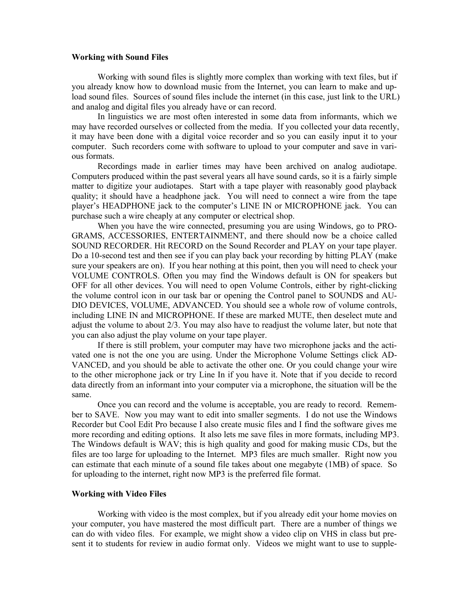## **Working with Sound Files**

 Working with sound files is slightly more complex than working with text files, but if you already know how to download music from the Internet, you can learn to make and upload sound files. Sources of sound files include the internet (in this case, just link to the URL) and analog and digital files you already have or can record.

 In linguistics we are most often interested in some data from informants, which we may have recorded ourselves or collected from the media. If you collected your data recently, it may have been done with a digital voice recorder and so you can easily input it to your computer. Such recorders come with software to upload to your computer and save in various formats.

 Recordings made in earlier times may have been archived on analog audiotape. Computers produced within the past several years all have sound cards, so it is a fairly simple matter to digitize your audiotapes. Start with a tape player with reasonably good playback quality; it should have a headphone jack. You will need to connect a wire from the tape player's HEADPHONE jack to the computer's LINE IN or MICROPHONE jack. You can purchase such a wire cheaply at any computer or electrical shop.

 When you have the wire connected, presuming you are using Windows, go to PRO-GRAMS, ACCESSORIES, ENTERTAINMENT, and there should now be a choice called SOUND RECORDER. Hit RECORD on the Sound Recorder and PLAY on your tape player. Do a 10-second test and then see if you can play back your recording by hitting PLAY (make sure your speakers are on). If you hear nothing at this point, then you will need to check your VOLUME CONTROLS. Often you may find the Windows default is ON for speakers but OFF for all other devices. You will need to open Volume Controls, either by right-clicking the volume control icon in our task bar or opening the Control panel to SOUNDS and AU-DIO DEVICES, VOLUME, ADVANCED. You should see a whole row of volume controls, including LINE IN and MICROPHONE. If these are marked MUTE, then deselect mute and adjust the volume to about 2/3. You may also have to readjust the volume later, but note that you can also adjust the play volume on your tape player.

 If there is still problem, your computer may have two microphone jacks and the activated one is not the one you are using. Under the Microphone Volume Settings click AD-VANCED, and you should be able to activate the other one. Or you could change your wire to the other microphone jack or try Line In if you have it. Note that if you decide to record data directly from an informant into your computer via a microphone, the situation will be the same.

 Once you can record and the volume is acceptable, you are ready to record. Remember to SAVE. Now you may want to edit into smaller segments. I do not use the Windows Recorder but Cool Edit Pro because I also create music files and I find the software gives me more recording and editing options. It also lets me save files in more formats, including MP3. The Windows default is WAV; this is high quality and good for making music CDs, but the files are too large for uploading to the Internet. MP3 files are much smaller. Right now you can estimate that each minute of a sound file takes about one megabyte (1MB) of space. So for uploading to the internet, right now MP3 is the preferred file format.

### **Working with Video Files**

 Working with video is the most complex, but if you already edit your home movies on your computer, you have mastered the most difficult part. There are a number of things we can do with video files. For example, we might show a video clip on VHS in class but present it to students for review in audio format only. Videos we might want to use to supple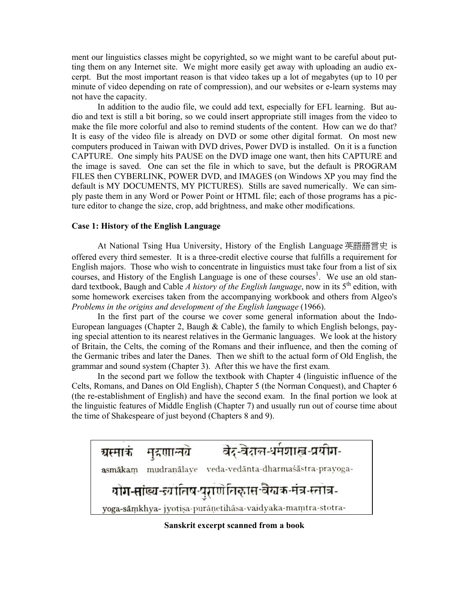ment our linguistics classes might be copyrighted, so we might want to be careful about putting them on any Internet site. We might more easily get away with uploading an audio excerpt. But the most important reason is that video takes up a lot of megabytes (up to 10 per minute of video depending on rate of compression), and our websites or e-learn systems may not have the capacity.

 In addition to the audio file, we could add text, especially for EFL learning. But audio and text is still a bit boring, so we could insert appropriate still images from the video to make the file more colorful and also to remind students of the content. How can we do that? It is easy of the video file is already on DVD or some other digital format. On most new computers produced in Taiwan with DVD drives, Power DVD is installed. On it is a function CAPTURE. One simply hits PAUSE on the DVD image one want, then hits CAPTURE and the image is saved. One can set the file in which to save, but the default is PROGRAM FILES then CYBERLINK, POWER DVD, and IMAGES (on Windows XP you may find the default is MY DOCUMENTS, MY PICTURES). Stills are saved numerically. We can simply paste them in any Word or Power Point or HTML file; each of those programs has a picture editor to change the size, crop, add brightness, and make other modifications.

## **Case 1: History of the English Language**

 At National Tsing Hua University, History of the English Language 英語語言史 is offered every third semester. It is a three-credit elective course that fulfills a requirement for English majors. Those who wish to concentrate in linguistics must take four from a list of six courses, and History of the English Language is one of these courses<sup>1</sup>. We use an old standard textbook, Baugh and Cable *A history of the English language*, now in its 5<sup>th</sup> edition, with some homework exercises taken from the accompanying workbook and others from Algeo's *Problems in the origins and development of the English language* (1966).

 In the first part of the course we cover some general information about the Indo-European languages (Chapter 2, Baugh  $&$  Cable), the family to which English belongs, paying special attention to its nearest relatives in the Germanic languages. We look at the history of Britain, the Celts, the coming of the Romans and their influence, and then the coming of the Germanic tribes and later the Danes. Then we shift to the actual form of Old English, the grammar and sound system (Chapter 3). After this we have the first exam.

 In the second part we follow the textbook with Chapter 4 (linguistic influence of the Celts, Romans, and Danes on Old English), Chapter 5 (the Norman Conquest), and Chapter 6 (the re-establishment of English) and have the second exam. In the final portion we look at the linguistic features of Middle English (Chapter 7) and usually run out of course time about the time of Shakespeare of just beyond (Chapters 8 and 9).



**Sanskrit excerpt scanned from a book**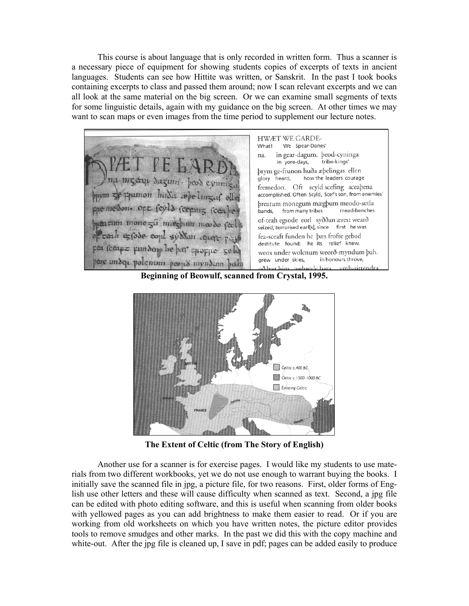This course is about language that is only recorded in written form. Thus a scanner is a necessary piece of equipment for showing students copies of excerpts of texts in ancient languages. Students can see how Hittite was written, or Sanskrit. In the past I took books containing excerpts to class and passed them around; now I scan relevant excerpts and we can all look at the same material on the big screen. Or we can examine small segments of texts for some linguistic details, again with my guidance on the big screen. At other times we may want to scan maps or even images from the time period to supplement our lecture notes.



**Beginning of Beowulf, scanned from Crystal, 1995.**



**The Extent of Celtic (from The Story of English)**

 Another use for a scanner is for exercise pages. I would like my students to use materials from two different workbooks, yet we do not use enough to warrant buying the books. I initially save the scanned file in jpg, a picture file, for two reasons. First, older forms of English use other letters and these will cause difficulty when scanned as text. Second, a jpg file can be edited with photo editing software, and this is useful when scanning from older books with yellowed pages as you can add brightness to make them easier to read. Or if you are working from old worksheets on which you have written notes, the picture editor provides tools to remove smudges and other marks. In the past we did this with the copy machine and white-out. After the jpg file is cleaned up, I save in pdf; pages can be added easily to produce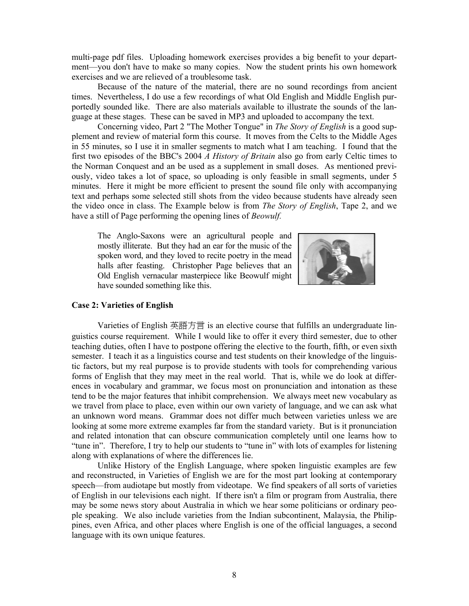multi-page pdf files. Uploading homework exercises provides a big benefit to your department—you don't have to make so many copies. Now the student prints his own homework exercises and we are relieved of a troublesome task.

 Because of the nature of the material, there are no sound recordings from ancient times. Nevertheless, I do use a few recordings of what Old English and Middle English purportedly sounded like. There are also materials available to illustrate the sounds of the language at these stages. These can be saved in MP3 and uploaded to accompany the text.

 Concerning video, Part 2 "The Mother Tongue" in *The Story of English* is a good supplement and review of material form this course. It moves from the Celts to the Middle Ages in 55 minutes, so I use it in smaller segments to match what I am teaching. I found that the first two episodes of the BBC's 2004 *A History of Britain* also go from early Celtic times to the Norman Conquest and an be used as a supplement in small doses. As mentioned previously, video takes a lot of space, so uploading is only feasible in small segments, under 5 minutes. Here it might be more efficient to present the sound file only with accompanying text and perhaps some selected still shots from the video because students have already seen the video once in class. The Example below is from *The Story of English*, Tape 2, and we have a still of Page performing the opening lines of *Beowulf.*

The Anglo-Saxons were an agricultural people and mostly illiterate. But they had an ear for the music of the spoken word, and they loved to recite poetry in the mead halls after feasting. Christopher Page believes that an Old English vernacular masterpiece like Beowulf might have sounded something like this.



#### **Case 2: Varieties of English**

 Varieties of English 英語方言 is an elective course that fulfills an undergraduate linguistics course requirement. While I would like to offer it every third semester, due to other teaching duties, often I have to postpone offering the elective to the fourth, fifth, or even sixth semester. I teach it as a linguistics course and test students on their knowledge of the linguistic factors, but my real purpose is to provide students with tools for comprehending various forms of English that they may meet in the real world. That is, while we do look at differences in vocabulary and grammar, we focus most on pronunciation and intonation as these tend to be the major features that inhibit comprehension. We always meet new vocabulary as we travel from place to place, even within our own variety of language, and we can ask what an unknown word means. Grammar does not differ much between varieties unless we are looking at some more extreme examples far from the standard variety. But is it pronunciation and related intonation that can obscure communication completely until one learns how to "tune in". Therefore, I try to help our students to "tune in" with lots of examples for listening along with explanations of where the differences lie.

 Unlike History of the English Language, where spoken linguistic examples are few and reconstructed, in Varieties of English we are for the most part looking at contemporary speech—from audiotape but mostly from videotape. We find speakers of all sorts of varieties of English in our televisions each night. If there isn't a film or program from Australia, there may be some news story about Australia in which we hear some politicians or ordinary people speaking. We also include varieties from the Indian subcontinent, Malaysia, the Philippines, even Africa, and other places where English is one of the official languages, a second language with its own unique features.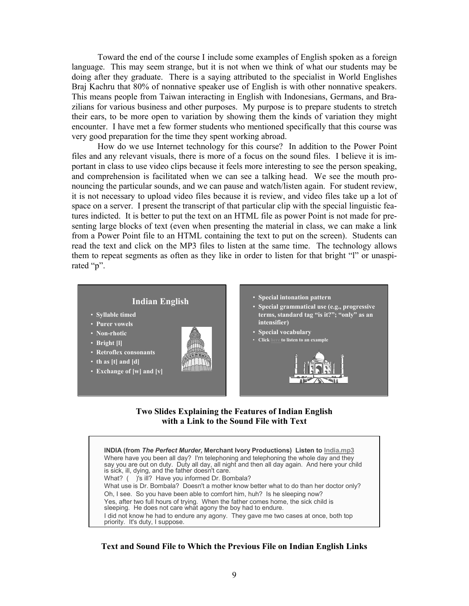Toward the end of the course I include some examples of English spoken as a foreign language. This may seem strange, but it is not when we think of what our students may be doing after they graduate. There is a saying attributed to the specialist in World Englishes Braj Kachru that 80% of nonnative speaker use of English is with other nonnative speakers. This means people from Taiwan interacting in English with Indonesians, Germans, and Brazilians for various business and other purposes. My purpose is to prepare students to stretch their ears, to be more open to variation by showing them the kinds of variation they might encounter. I have met a few former students who mentioned specifically that this course was very good preparation for the time they spent working abroad.

 How do we use Internet technology for this course? In addition to the Power Point files and any relevant visuals, there is more of a focus on the sound files. I believe it is important in class to use video clips because it feels more interesting to see the person speaking, and comprehension is facilitated when we can see a talking head. We see the mouth pronouncing the particular sounds, and we can pause and watch/listen again. For student review, it is not necessary to upload video files because it is review, and video files take up a lot of space on a server. I present the transcript of that particular clip with the special linguistic features indicted. It is better to put the text on an HTML file as power Point is not made for presenting large blocks of text (even when presenting the material in class, we can make a link from a Power Point file to an HTML containing the text to put on the screen). Students can read the text and click on the MP3 files to listen at the same time. The technology allows them to repeat segments as often as they like in order to listen for that bright "l" or unaspirated "p".



## **Two Slides Explaining the Features of Indian English with a Link to the Sound File with Text**

**INDIA (from** *The Perfect Murder,* **Merchant Ivory Productions) Listen to India.mp3** Where have you been all day? I'm telephoning and telephoning the whole day and they say you are out on duty. Duty all day, all night and then all day again. And here your child is sick, ill, dying, and the father doesn't care. What? ( )'s ill? Have you informed Dr. Bombala? What use is Dr. Bombala? Doesn't a mother know better what to do than her doctor only? Oh, I see. So you have been able to comfort him, huh? Is he sleeping now? Yes, after two full hours of trying. When the father comes home, the sick child is sleeping. He does not care what agony the boy had to endure. I did not know he had to endure any agony. They gave me two cases at once, both top priority. It's duty, I suppose.

# **Text and Sound File to Which the Previous File on Indian English Links**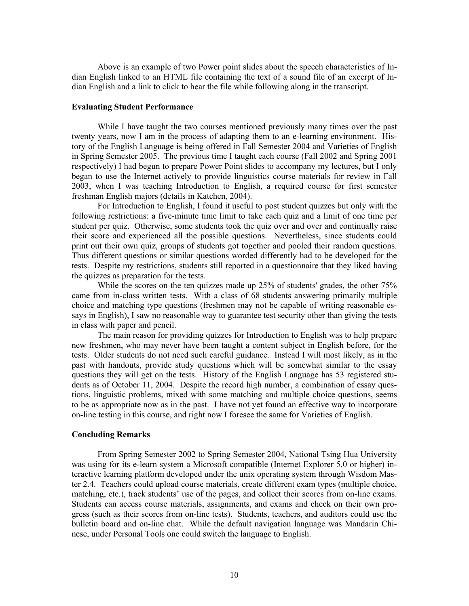Above is an example of two Power point slides about the speech characteristics of Indian English linked to an HTML file containing the text of a sound file of an excerpt of Indian English and a link to click to hear the file while following along in the transcript.

## **Evaluating Student Performance**

 While I have taught the two courses mentioned previously many times over the past twenty years, now I am in the process of adapting them to an e-learning environment. History of the English Language is being offered in Fall Semester 2004 and Varieties of English in Spring Semester 2005. The previous time I taught each course (Fall 2002 and Spring 2001 respectively) I had begun to prepare Power Point slides to accompany my lectures, but I only began to use the Internet actively to provide linguistics course materials for review in Fall 2003, when I was teaching Introduction to English, a required course for first semester freshman English majors (details in Katchen, 2004).

 For Introduction to English, I found it useful to post student quizzes but only with the following restrictions: a five-minute time limit to take each quiz and a limit of one time per student per quiz. Otherwise, some students took the quiz over and over and continually raise their score and experienced all the possible questions. Nevertheless, since students could print out their own quiz, groups of students got together and pooled their random questions. Thus different questions or similar questions worded differently had to be developed for the tests. Despite my restrictions, students still reported in a questionnaire that they liked having the quizzes as preparation for the tests.

 While the scores on the ten quizzes made up 25% of students' grades, the other 75% came from in-class written tests. With a class of 68 students answering primarily multiple choice and matching type questions (freshmen may not be capable of writing reasonable essays in English), I saw no reasonable way to guarantee test security other than giving the tests in class with paper and pencil.

 The main reason for providing quizzes for Introduction to English was to help prepare new freshmen, who may never have been taught a content subject in English before, for the tests. Older students do not need such careful guidance. Instead I will most likely, as in the past with handouts, provide study questions which will be somewhat similar to the essay questions they will get on the tests. History of the English Language has 53 registered students as of October 11, 2004. Despite the record high number, a combination of essay questions, linguistic problems, mixed with some matching and multiple choice questions, seems to be as appropriate now as in the past. I have not yet found an effective way to incorporate on-line testing in this course, and right now I foresee the same for Varieties of English.

#### **Concluding Remarks**

 From Spring Semester 2002 to Spring Semester 2004, National Tsing Hua University was using for its e-learn system a Microsoft compatible (Internet Explorer 5.0 or higher) interactive learning platform developed under the unix operating system through Wisdom Master 2.4. Teachers could upload course materials, create different exam types (multiple choice, matching, etc.), track students' use of the pages, and collect their scores from on-line exams. Students can access course materials, assignments, and exams and check on their own progress (such as their scores from on-line tests). Students, teachers, and auditors could use the bulletin board and on-line chat. While the default navigation language was Mandarin Chinese, under Personal Tools one could switch the language to English.